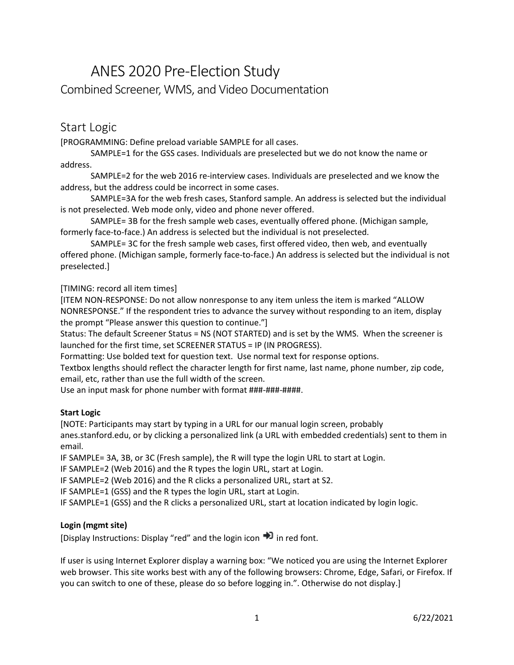# ANES 2020 Pre-Election Study

Combined Screener, WMS, and Video Documentation

## Start Logic

[PROGRAMMING: Define preload variable SAMPLE for all cases.

SAMPLE=1 for the GSS cases. Individuals are preselected but we do not know the name or address.

SAMPLE=2 for the web 2016 re-interview cases. Individuals are preselected and we know the address, but the address could be incorrect in some cases.

SAMPLE=3A for the web fresh cases, Stanford sample. An address is selected but the individual is not preselected. Web mode only, video and phone never offered.

SAMPLE= 3B for the fresh sample web cases, eventually offered phone. (Michigan sample, formerly face-to-face.) An address is selected but the individual is not preselected.

SAMPLE= 3C for the fresh sample web cases, first offered video, then web, and eventually offered phone. (Michigan sample, formerly face-to-face.) An address is selected but the individual is not preselected.]

[TIMING: record all item times]

[ITEM NON-RESPONSE: Do not allow nonresponse to any item unless the item is marked "ALLOW NONRESPONSE." If the respondent tries to advance the survey without responding to an item, display the prompt "Please answer this question to continue."]

Status: The default Screener Status = NS (NOT STARTED) and is set by the WMS. When the screener is launched for the first time, set SCREENER STATUS = IP (IN PROGRESS).

Formatting: Use bolded text for question text. Use normal text for response options.

Textbox lengths should reflect the character length for first name, last name, phone number, zip code, email, etc, rather than use the full width of the screen.

Use an input mask for phone number with format ###-###-####.

## **Start Logic**

[NOTE: Participants may start by typing in a URL for our manual login screen, probably anes.stanford.edu, or by clicking a personalized link (a URL with embedded credentials) sent to them in email.

IF SAMPLE= 3A, 3B, or 3C (Fresh sample), the R will type the login URL to start at Login.

IF SAMPLE=2 (Web 2016) and the R types the login URL, start at Login.

IF SAMPLE=2 (Web 2016) and the R clicks a personalized URL, start at S2.

IF SAMPLE=1 (GSS) and the R types the login URL, start at Login.

IF SAMPLE=1 (GSS) and the R clicks a personalized URL, start at location indicated by login logic.

## **Login (mgmt site)**

[Display Instructions: Display "red" and the login icon  $\bigoplus$  in red font.

If user is using Internet Explorer display a warning box: "We noticed you are using the Internet Explorer web browser. This site works best with any of the following browsers: Chrome, Edge, Safari, or Firefox. If you can switch to one of these, please do so before logging in.". Otherwise do not display.]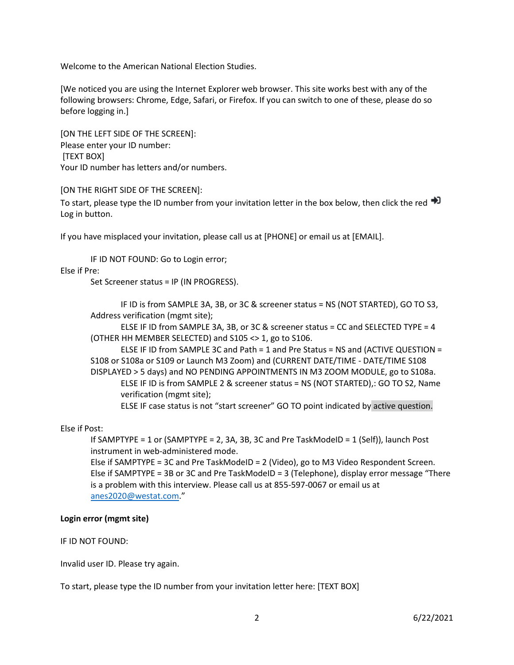Welcome to the American National Election Studies.

[We noticed you are using the Internet Explorer web browser. This site works best with any of the following browsers: Chrome, Edge, Safari, or Firefox. If you can switch to one of these, please do so before logging in.]

[ON THE LEFT SIDE OF THE SCREEN]: Please enter your ID number: [TEXT BOX] Your ID number has letters and/or numbers.

[ON THE RIGHT SIDE OF THE SCREEN]:

To start, please type the ID number from your invitation letter in the box below, then click the red  $\blacktriangleleft$ Log in button.

If you have misplaced your invitation, please call us at [PHONE] or email us at [EMAIL].

IF ID NOT FOUND: Go to Login error; Else if Pre:

Set Screener status = IP (IN PROGRESS).

IF ID is from SAMPLE 3A, 3B, or 3C & screener status = NS (NOT STARTED), GO TO S3, Address verification (mgmt site);

ELSE IF ID from SAMPLE 3A, 3B, or 3C & screener status = CC and SELECTED TYPE = 4 (OTHER HH MEMBER SELECTED) and S105 <> 1, go to S106.

ELSE IF ID from SAMPLE 3C and Path = 1 and Pre Status = NS and (ACTIVE QUESTION = S108 or S108a or S109 or Launch M3 Zoom) and (CURRENT DATE/TIME - DATE/TIME S108 DISPLAYED > 5 days) and NO PENDING APPOINTMENTS IN M3 ZOOM MODULE, go to S108a. ELSE IF ID is from SAMPLE 2 & screener status = NS (NOT STARTED),: GO TO S2, Name verification (mgmt site);

ELSE IF case status is not "start screener" GO TO point indicated by active question.

Else if Post:

If SAMPTYPE = 1 or (SAMPTYPE = 2, 3A, 3B, 3C and Pre TaskModeID = 1 (Self)), launch Post instrument in web-administered mode.

Else if SAMPTYPE = 3C and Pre TaskModeID = 2 (Video), go to M3 Video Respondent Screen. Else if SAMPTYPE = 3B or 3C and Pre TaskModeID = 3 (Telephone), display error message "There is a problem with this interview. Please call us at 855-597-0067 or email us at [anes2020@westat.com.](mailto:anes2020@westat.com)"

#### **Login error (mgmt site)**

IF ID NOT FOUND:

Invalid user ID. Please try again.

To start, please type the ID number from your invitation letter here: [TEXT BOX]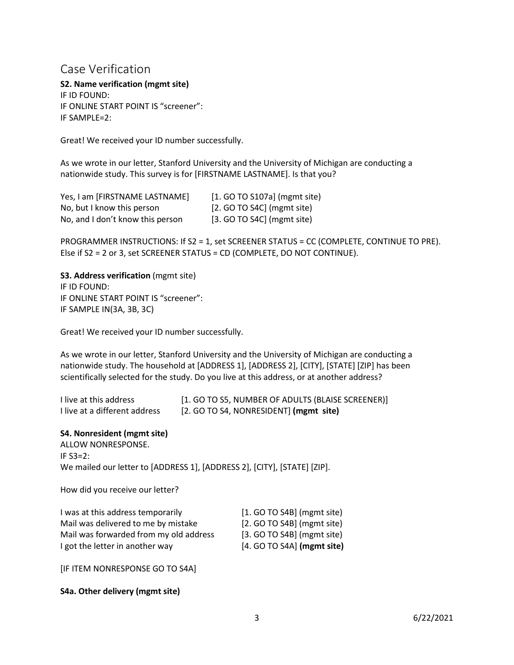## Case Verification

**S2. Name verification (mgmt site)** IF ID FOUND: IF ONLINE START POINT IS "screener": IF SAMPLE=2:

Great! We received your ID number successfully.

As we wrote in our letter, Stanford University and the University of Michigan are conducting a nationwide study. This survey is for [FIRSTNAME LASTNAME]. Is that you?

| Yes, I am [FIRSTNAME LASTNAME]   | [1. GO TO S107a] (mgmt site) |
|----------------------------------|------------------------------|
| No, but I know this person       | $[2. GO TO S4C]$ (mgmt site) |
| No, and I don't know this person | $[3. GO TO S4C]$ (mgmt site) |

PROGRAMMER INSTRUCTIONS: If S2 = 1, set SCREENER STATUS = CC (COMPLETE, CONTINUE TO PRE). Else if S2 = 2 or 3, set SCREENER STATUS = CD (COMPLETE, DO NOT CONTINUE).

**S3. Address verification** (mgmt site) IF ID FOUND: IF ONLINE START POINT IS "screener": IF SAMPLE IN(3A, 3B, 3C)

Great! We received your ID number successfully.

As we wrote in our letter, Stanford University and the University of Michigan are conducting a nationwide study. The household at [ADDRESS 1], [ADDRESS 2], [CITY], [STATE] [ZIP] has been scientifically selected for the study. Do you live at this address, or at another address?

| I live at this address        | [1. GO TO S5, NUMBER OF ADULTS (BLAISE SCREENER)] |
|-------------------------------|---------------------------------------------------|
| I live at a different address | [2. GO TO S4, NONRESIDENT] (mgmt site)            |

### **S4. Nonresident (mgmt site)**

ALLOW NONRESPONSE. IF S3=2: We mailed our letter to [ADDRESS 1], [ADDRESS 2], [CITY], [STATE] [ZIP].

How did you receive our letter?

| I was at this address temporarily      | $[1. GO TO S4B]$ (mgmt site) |
|----------------------------------------|------------------------------|
| Mail was delivered to me by mistake    | [2. GO TO S4B] (mgmt site)   |
| Mail was forwarded from my old address | [3. GO TO S4B] (mgmt site)   |
| I got the letter in another way        | [4. GO TO S4A] (mgmt site)   |
|                                        |                              |

[IF ITEM NONRESPONSE GO TO S4A]

### **S4a. Other delivery (mgmt site)**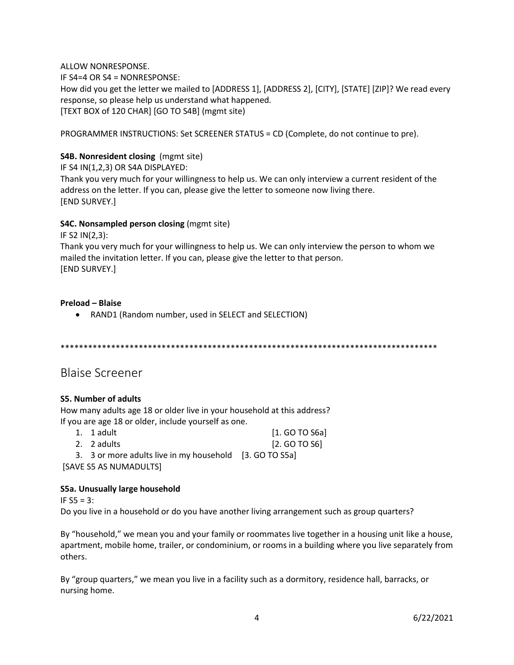## ALLOW NONRESPONSE.

IF S4=4 OR S4 = NONRESPONSE:

How did you get the letter we mailed to [ADDRESS 1], [ADDRESS 2], [CITY], [STATE] [ZIP]? We read every response, so please help us understand what happened. [TEXT BOX of 120 CHAR] [GO TO S4B] (mgmt site)

PROGRAMMER INSTRUCTIONS: Set SCREENER STATUS = CD (Complete, do not continue to pre).

## **S4B. Nonresident closing** (mgmt site)

IF S4 IN(1,2,3) OR S4A DISPLAYED:

Thank you very much for your willingness to help us. We can only interview a current resident of the address on the letter. If you can, please give the letter to someone now living there. [END SURVEY.]

### **S4C. Nonsampled person closing** (mgmt site)

IF S2 IN(2,3): Thank you very much for your willingness to help us. We can only interview the person to whom we mailed the invitation letter. If you can, please give the letter to that person. [END SURVEY.]

### **Preload – Blaise**

• RAND1 (Random number, used in SELECT and SELECTION)

\*\*\*\*\*\*\*\*\*\*\*\*\*\*\*\*\*\*\*\*\*\*\*\*\*\*\*\*\*\*\*\*\*\*\*\*\*\*\*\*\*\*\*\*\*\*\*\*\*\*\*\*\*\*\*\*\*\*\*\*\*\*\*\*\*\*\*\*\*\*\*\*\*\*\*\*\*\*\*\*\*\*

## Blaise Screener

### **S5. Number of adults**

How many adults age 18 or older live in your household at this address? If you are age 18 or older, include yourself as one.

- 1. 1 adult [1. GO TO S6a]
- 2. 2 adults [2. GO TO S6]
- 3. 3 or more adults live in my household [3. GO TO S5a]

[SAVE S5 AS NUMADULTS]

### **S5a. Unusually large household**

IF S5 = 3:

Do you live in a household or do you have another living arrangement such as group quarters?

By "household," we mean you and your family or roommates live together in a housing unit like a house, apartment, mobile home, trailer, or condominium, or rooms in a building where you live separately from others.

By "group quarters," we mean you live in a facility such as a dormitory, residence hall, barracks, or nursing home.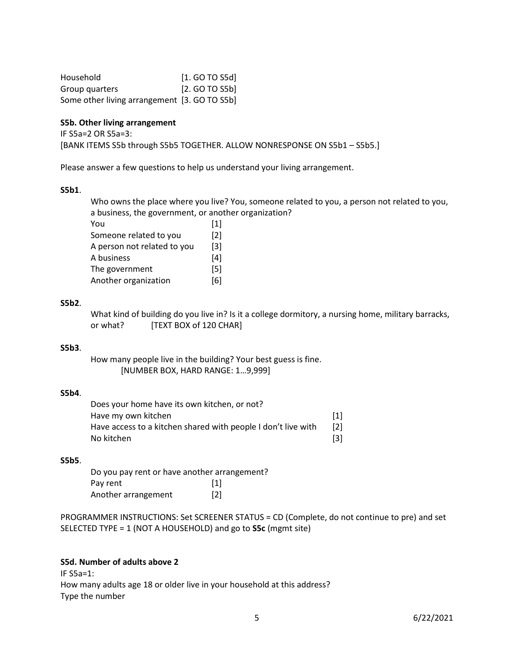| Household                                    | [1. GO TO S5d] |
|----------------------------------------------|----------------|
| Group quarters                               | [2. GQTO S5b]  |
| Some other living arrangement [3. GO TO S5b] |                |

#### **S5b. Other living arrangement**

IF S5a=2 OR S5a=3:

[BANK ITEMS S5b through S5b5 TOGETHER. ALLOW NONRESPONSE ON S5b1 – S5b5.]

Please answer a few questions to help us understand your living arrangement.

#### **S5b1**.

Who owns the place where you live? You, someone related to you, a person not related to you, a business, the government, or another organization?

| You                         | $\lceil 1 \rceil$ |
|-----------------------------|-------------------|
| Someone related to you      | [2]               |
| A person not related to you | [3]               |
| A business                  | [4]               |
| The government              | [5]               |
| Another organization        | [6]               |

#### **S5b2**.

What kind of building do you live in? Is it a college dormitory, a nursing home, military barracks, or what? [TEXT BOX of 120 CHAR]

#### **S5b3**.

How many people live in the building? Your best guess is fine. [NUMBER BOX, HARD RANGE: 1…9,999]

#### **S5b4**.

| Does your home have its own kitchen, or not?                  |                   |
|---------------------------------------------------------------|-------------------|
| Have my own kitchen                                           | $\lceil 1 \rceil$ |
| Have access to a kitchen shared with people I don't live with | $\lceil 2 \rceil$ |
| No kitchen                                                    | [3]               |

#### **S5b5**.

Do you pay rent or have another arrangement? Pay rent [1] Another arrangement [2]

PROGRAMMER INSTRUCTIONS: Set SCREENER STATUS = CD (Complete, do not continue to pre) and set SELECTED TYPE = 1 (NOT A HOUSEHOLD) and go to **S5c** (mgmt site)

#### **S5d. Number of adults above 2**

IF S5a=1:

How many adults age 18 or older live in your household at this address? Type the number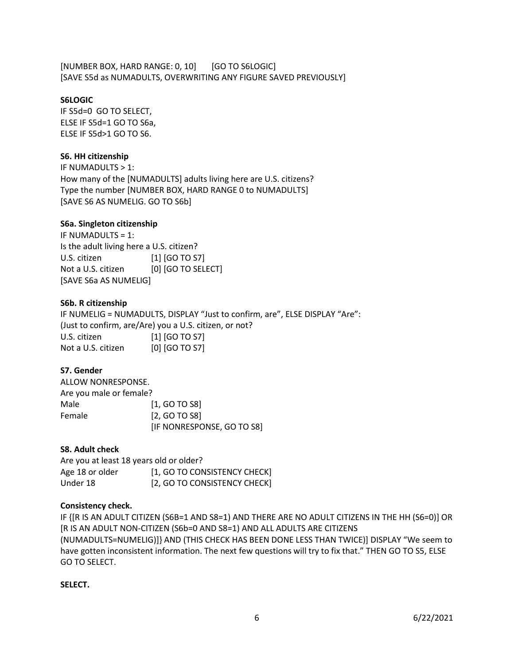[NUMBER BOX, HARD RANGE: 0, 10] [GO TO S6LOGIC] [SAVE S5d as NUMADULTS, OVERWRITING ANY FIGURE SAVED PREVIOUSLY]

#### **S6LOGIC**

IF S5d=0 GO TO SELECT, ELSE IF S5d=1 GO TO S6a, ELSE IF S5d>1 GO TO S6.

## **S6. HH citizenship**

IF NUMADULTS > 1: How many of the [NUMADULTS] adults living here are U.S. citizens? Type the number [NUMBER BOX, HARD RANGE 0 to NUMADULTS] [SAVE S6 AS NUMELIG. GO TO S6b]

#### **S6a. Singleton citizenship**

IF NUMADULTS = 1: Is the adult living here a U.S. citizen? U.S. citizen [1] [GO TO S7] Not a U.S. citizen [0] [GO TO SELECT] [SAVE S6a AS NUMELIG]

### **S6b. R citizenship**

IF NUMELIG = NUMADULTS, DISPLAY "Just to confirm, are", ELSE DISPLAY "Are": (Just to confirm, are/Are) you a U.S. citizen, or not? U.S. citizen [1] [GO TO S7] Not a U.S. citizen [0] [GO TO S7]

### **S7. Gender**

ALLOW NONRESPONSE. Are you male or female? Male [1, GO TO S8] Female [2, GO TO S8] [IF NONRESPONSE, GO TO S8]

### **S8. Adult check**

Are you at least 18 years old or older? Age 18 or older [1, GO TO CONSISTENCY CHECK] Under 18 [2, GO TO CONSISTENCY CHECK]

### **Consistency check.**

IF {[R IS AN ADULT CITIZEN (S6B=1 AND S8=1) AND THERE ARE NO ADULT CITIZENS IN THE HH (S6=0)] OR [R IS AN ADULT NON-CITIZEN (S6b=0 AND S8=1) AND ALL ADULTS ARE CITIZENS (NUMADULTS=NUMELIG)]} AND (THIS CHECK HAS BEEN DONE LESS THAN TWICE)] DISPLAY "We seem to have gotten inconsistent information. The next few questions will try to fix that." THEN GO TO S5, ELSE GO TO SELECT.

#### **SELECT.**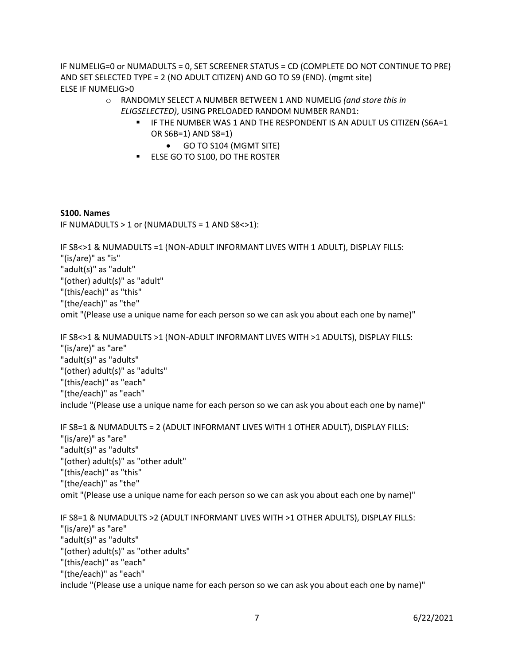IF NUMELIG=0 or NUMADULTS = 0, SET SCREENER STATUS = CD (COMPLETE DO NOT CONTINUE TO PRE) AND SET SELECTED TYPE = 2 (NO ADULT CITIZEN) AND GO TO S9 (END). (mgmt site) ELSE IF NUMELIG>0

- o RANDOMLY SELECT A NUMBER BETWEEN 1 AND NUMELIG *(and store this in ELIGSELECTED)*, USING PRELOADED RANDOM NUMBER RAND1:
	- IF THE NUMBER WAS 1 AND THE RESPONDENT IS AN ADULT US CITIZEN (S6A=1 OR S6B=1) AND S8=1)
		- GO TO S104 (MGMT SITE)
	- **ELSE GO TO S100, DO THE ROSTER**

#### **S100. Names**

IF NUMADULTS > 1 or (NUMADULTS = 1 AND S8<>1):

IF S8<>1 & NUMADULTS =1 (NON-ADULT INFORMANT LIVES WITH 1 ADULT), DISPLAY FILLS: "(is/are)" as "is" "adult(s)" as "adult" "(other) adult(s)" as "adult" "(this/each)" as "this" "(the/each)" as "the" omit "(Please use a unique name for each person so we can ask you about each one by name)"

IF S8<>1 & NUMADULTS >1 (NON-ADULT INFORMANT LIVES WITH >1 ADULTS), DISPLAY FILLS: "(is/are)" as "are" "adult(s)" as "adults" "(other) adult(s)" as "adults" "(this/each)" as "each" "(the/each)" as "each" include "(Please use a unique name for each person so we can ask you about each one by name)"

IF S8=1 & NUMADULTS = 2 (ADULT INFORMANT LIVES WITH 1 OTHER ADULT), DISPLAY FILLS: "(is/are)" as "are" "adult(s)" as "adults" "(other) adult(s)" as "other adult" "(this/each)" as "this" "(the/each)" as "the" omit "(Please use a unique name for each person so we can ask you about each one by name)"

IF S8=1 & NUMADULTS >2 (ADULT INFORMANT LIVES WITH >1 OTHER ADULTS), DISPLAY FILLS: "(is/are)" as "are" "adult(s)" as "adults" "(other) adult(s)" as "other adults" "(this/each)" as "each" "(the/each)" as "each" include "(Please use a unique name for each person so we can ask you about each one by name)"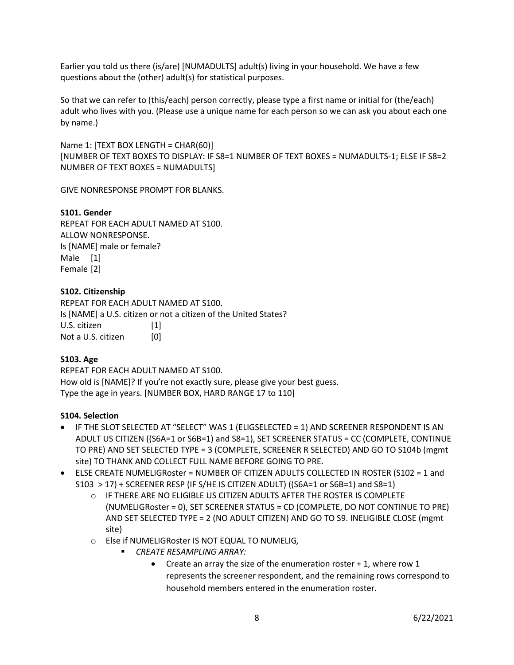Earlier you told us there (is/are) [NUMADULTS] adult(s) living in your household. We have a few questions about the (other) adult(s) for statistical purposes.

So that we can refer to (this/each) person correctly, please type a first name or initial for (the/each) adult who lives with you. (Please use a unique name for each person so we can ask you about each one by name.)

Name 1: [TEXT BOX LENGTH = CHAR(60)] [NUMBER OF TEXT BOXES TO DISPLAY: IF S8=1 NUMBER OF TEXT BOXES = NUMADULTS-1; ELSE IF S8=2 NUMBER OF TEXT BOXES = NUMADULTS]

GIVE NONRESPONSE PROMPT FOR BLANKS.

### **S101. Gender**

REPEAT FOR EACH ADULT NAMED AT S100. ALLOW NONRESPONSE. Is [NAME] male or female? Male [1] Female [2]

## **S102. Citizenship**

REPEAT FOR EACH ADULT NAMED AT S100. Is [NAME] a U.S. citizen or not a citizen of the United States? U.S. citizen [1] Not a U.S. citizen [0]

## **S103. Age**

REPEAT FOR EACH ADULT NAMED AT S100. How old is [NAME]? If you're not exactly sure, please give your best guess. Type the age in years. [NUMBER BOX, HARD RANGE 17 to 110]

## **S104. Selection**

- IF THE SLOT SELECTED AT "SELECT" WAS 1 (ELIGSELECTED = 1) AND SCREENER RESPONDENT IS AN ADULT US CITIZEN ((S6A=1 or S6B=1) and S8=1), SET SCREENER STATUS = CC (COMPLETE, CONTINUE TO PRE) AND SET SELECTED TYPE = 3 (COMPLETE, SCREENER R SELECTED) AND GO TO S104b (mgmt site) TO THANK AND COLLECT FULL NAME BEFORE GOING TO PRE.
- ELSE CREATE NUMELIGRoster = NUMBER OF CITIZEN ADULTS COLLECTED IN ROSTER (S102 = 1 and S103 > 17) + SCREENER RESP (IF S/HE IS CITIZEN ADULT) ((S6A=1 or S6B=1) and S8=1)
	- o IF THERE ARE NO ELIGIBLE US CITIZEN ADULTS AFTER THE ROSTER IS COMPLETE (NUMELIGRoster = 0), SET SCREENER STATUS = CD (COMPLETE, DO NOT CONTINUE TO PRE) AND SET SELECTED TYPE = 2 (NO ADULT CITIZEN) AND GO TO S9. INELIGIBLE CLOSE (mgmt site)
	- o Else if NUMELIGRoster IS NOT EQUAL TO NUMELIG*,*
		- *CREATE RESAMPLING ARRAY:*
			- Create an array the size of the enumeration roster  $+1$ , where row 1 represents the screener respondent, and the remaining rows correspond to household members entered in the enumeration roster.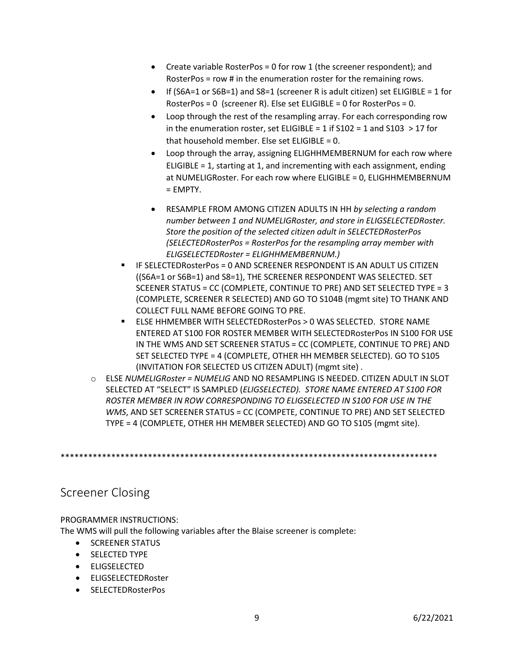- Create variable RosterPos = 0 for row 1 (the screener respondent); and RosterPos = row # in the enumeration roster for the remaining rows.
- If (S6A=1 or S6B=1) and S8=1 (screener R is adult citizen) set ELIGIBLE = 1 for RosterPos = 0 (screener R). Else set ELIGIBLE = 0 for RosterPos = 0.
- Loop through the rest of the resampling array. For each corresponding row in the enumeration roster, set ELIGIBLE = 1 if  $S102 = 1$  and  $S103 > 17$  for that household member. Else set ELIGIBLE = 0.
- Loop through the array, assigning ELIGHHMEMBERNUM for each row where ELIGIBLE = 1, starting at 1, and incrementing with each assignment, ending at NUMELIGRoster. For each row where ELIGIBLE = 0, ELIGHHMEMBERNUM = EMPTY.
- RESAMPLE FROM AMONG CITIZEN ADULTS IN HH *by selecting a random number between 1 and NUMELIGRoster, and store in ELIGSELECTEDRoster. Store the position of the selected citizen adult in SELECTEDRosterPos (SELECTEDRosterPos = RosterPos for the resampling array member with ELIGSELECTEDRoster = ELIGHHMEMBERNUM.)*
- IF SELECTEDRosterPos = 0 AND SCREENER RESPONDENT IS AN ADULT US CITIZEN ((S6A=1 or S6B=1) and S8=1), THE SCREENER RESPONDENT WAS SELECTED. SET SCEENER STATUS = CC (COMPLETE, CONTINUE TO PRE) AND SET SELECTED TYPE = 3 (COMPLETE, SCREENER R SELECTED) AND GO TO S104B (mgmt site) TO THANK AND COLLECT FULL NAME BEFORE GOING TO PRE.
- ELSE HHMEMBER WITH SELECTEDRosterPos > 0 WAS SELECTED. STORE NAME ENTERED AT S100 FOR ROSTER MEMBER WITH SELECTEDRosterPos IN S100 FOR USE IN THE WMS AND SET SCREENER STATUS = CC (COMPLETE, CONTINUE TO PRE) AND SET SELECTED TYPE = 4 (COMPLETE, OTHER HH MEMBER SELECTED). GO TO S105 (INVITATION FOR SELECTED US CITIZEN ADULT) (mgmt site) .
- o ELSE *NUMELIGRoster = NUMELIG* AND NO RESAMPLING IS NEEDED. CITIZEN ADULT IN SLOT SELECTED AT "SELECT" IS SAMPLED (*ELIGSELECTED). STORE NAME ENTERED AT S100 FOR ROSTER MEMBER IN ROW CORRESPONDING TO ELIGSELECTED IN S100 FOR USE IN THE WMS*, AND SET SCREENER STATUS = CC (COMPETE, CONTINUE TO PRE) AND SET SELECTED TYPE = 4 (COMPLETE, OTHER HH MEMBER SELECTED) AND GO TO S105 (mgmt site).

\*\*\*\*\*\*\*\*\*\*\*\*\*\*\*\*\*\*\*\*\*\*\*\*\*\*\*\*\*\*\*\*\*\*\*\*\*\*\*\*\*\*\*\*\*\*\*\*\*\*\*\*\*\*\*\*\*\*\*\*\*\*\*\*\*\*\*\*\*\*\*\*\*\*\*\*\*\*\*\*\*\*

## Screener Closing

## PROGRAMMER INSTRUCTIONS:

The WMS will pull the following variables after the Blaise screener is complete:

- SCREENER STATUS
- SELECTED TYPE
- ELIGSELECTED
- ELIGSELECTEDRoster
- SELECTEDRosterPos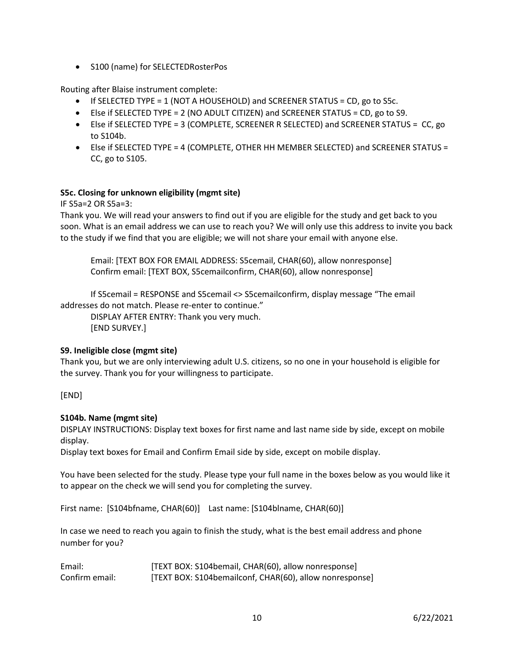• S100 (name) for SELECTEDRosterPos

Routing after Blaise instrument complete:

- $\bullet$  If SELECTED TYPE = 1 (NOT A HOUSEHOLD) and SCREENER STATUS = CD, go to S5c.
- Else if SELECTED TYPE = 2 (NO ADULT CITIZEN) and SCREENER STATUS = CD, go to S9.
- Else if SELECTED TYPE = 3 (COMPLETE, SCREENER R SELECTED) and SCREENER STATUS = CC, go to S104b.
- Else if SELECTED TYPE = 4 (COMPLETE, OTHER HH MEMBER SELECTED) and SCREENER STATUS = CC, go to S105.

### **S5c. Closing for unknown eligibility (mgmt site)**

IF S5a=2 OR S5a=3:

Thank you. We will read your answers to find out if you are eligible for the study and get back to you soon. What is an email address we can use to reach you? We will only use this address to invite you back to the study if we find that you are eligible; we will not share your email with anyone else.

Email: [TEXT BOX FOR EMAIL ADDRESS: S5cemail, CHAR(60), allow nonresponse] Confirm email: [TEXT BOX, S5cemailconfirm, CHAR(60), allow nonresponse]

If S5cemail = RESPONSE and S5cemail <> S5cemailconfirm, display message "The email addresses do not match. Please re-enter to continue."

DISPLAY AFTER ENTRY: Thank you very much. [END SURVEY.]

### **S9. Ineligible close (mgmt site)**

Thank you, but we are only interviewing adult U.S. citizens, so no one in your household is eligible for the survey. Thank you for your willingness to participate.

### [END]

### **S104b. Name (mgmt site)**

DISPLAY INSTRUCTIONS: Display text boxes for first name and last name side by side, except on mobile display.

Display text boxes for Email and Confirm Email side by side, except on mobile display.

You have been selected for the study. Please type your full name in the boxes below as you would like it to appear on the check we will send you for completing the survey.

First name: [S104bfname, CHAR(60)] Last name: [S104blname, CHAR(60)]

In case we need to reach you again to finish the study, what is the best email address and phone number for you?

| Email:         | [TEXT BOX: S104bemail, CHAR(60), allow nonresponse]     |
|----------------|---------------------------------------------------------|
| Confirm email: | [TEXT BOX: S104bemailconf, CHAR(60), allow nonresponse] |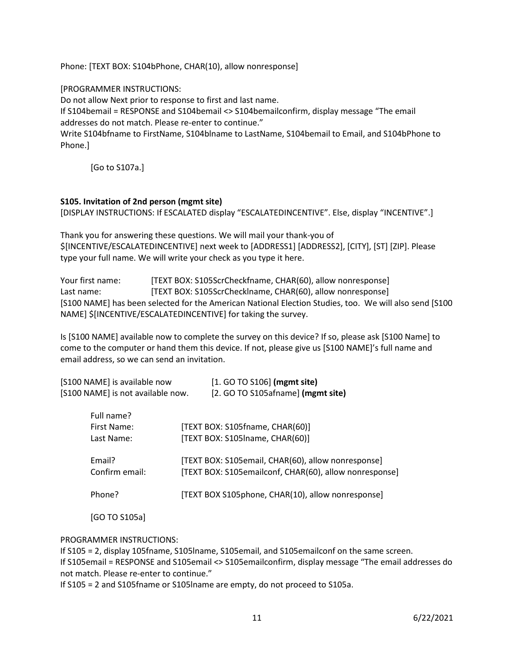Phone: [TEXT BOX: S104bPhone, CHAR(10), allow nonresponse]

[PROGRAMMER INSTRUCTIONS:

Do not allow Next prior to response to first and last name.

If S104bemail = RESPONSE and S104bemail <> S104bemailconfirm, display message "The email addresses do not match. Please re-enter to continue."

Write S104bfname to FirstName, S104blname to LastName, S104bemail to Email, and S104bPhone to Phone.]

[Go to S107a.]

#### **S105. Invitation of 2nd person (mgmt site)**

[DISPLAY INSTRUCTIONS: If ESCALATED display "ESCALATEDINCENTIVE". Else, display "INCENTIVE".]

Thank you for answering these questions. We will mail your thank-you of \$[INCENTIVE/ESCALATEDINCENTIVE] next week to [ADDRESS1] [ADDRESS2], [CITY], [ST] [ZIP]. Please type your full name. We will write your check as you type it here.

Your first name: [TEXT BOX: S105ScrCheckfname, CHAR(60), allow nonresponse] Last name: [TEXT BOX: S105ScrChecklname, CHAR(60), allow nonresponse] [S100 NAME] has been selected for the American National Election Studies, too. We will also send [S100 NAME] \$[INCENTIVE/ESCALATEDINCENTIVE] for taking the survey.

Is [S100 NAME] available now to complete the survey on this device? If so, please ask [S100 Name] to come to the computer or hand them this device. If not, please give us [S100 NAME]'s full name and email address, so we can send an invitation.

| [S100 NAME] is available now      | [1. GO TO S106] (mgmt site)                            |
|-----------------------------------|--------------------------------------------------------|
| [S100 NAME] is not available now. | [2. GO TO S105afname] (mgmt site)                      |
| Full name?                        |                                                        |
| First Name:                       | [TEXT BOX: S105fname, CHAR(60)]                        |
| Last Name:                        | [TEXT BOX: S105Iname, CHAR(60)]                        |
|                                   |                                                        |
| Email?                            | [TEXT BOX: S105email, CHAR(60), allow nonresponse]     |
| Confirm email:                    | [TEXT BOX: S105emailconf, CHAR(60), allow nonresponse] |
|                                   |                                                        |
| Phone?                            | [TEXT BOX S105phone, CHAR(10), allow nonresponse]      |
|                                   |                                                        |
| IGO TO S105al                     |                                                        |

### PROGRAMMER INSTRUCTIONS:

If S105 = 2, display 105fname, S105lname, S105email, and S105emailconf on the same screen. If S105email = RESPONSE and S105email <> S105emailconfirm, display message "The email addresses do not match. Please re-enter to continue."

If S105 = 2 and S105fname or S105lname are empty, do not proceed to S105a.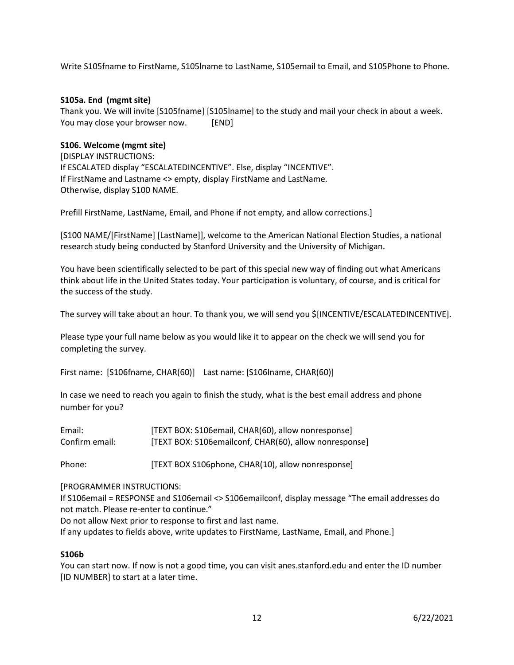Write S105fname to FirstName, S105lname to LastName, S105email to Email, and S105Phone to Phone.

## **S105a. End (mgmt site)**

Thank you. We will invite [S105fname] [S105lname] to the study and mail your check in about a week. You may close your browser now. [END]

## **S106. Welcome (mgmt site)**

[DISPLAY INSTRUCTIONS: If ESCALATED display "ESCALATEDINCENTIVE". Else, display "INCENTIVE". If FirstName and Lastname <> empty, display FirstName and LastName. Otherwise, display S100 NAME.

Prefill FirstName, LastName, Email, and Phone if not empty, and allow corrections.]

[S100 NAME/[FirstName] [LastName]], welcome to the American National Election Studies, a national research study being conducted by Stanford University and the University of Michigan.

You have been scientifically selected to be part of this special new way of finding out what Americans think about life in the United States today. Your participation is voluntary, of course, and is critical for the success of the study.

The survey will take about an hour. To thank you, we will send you \$[INCENTIVE/ESCALATEDINCENTIVE].

Please type your full name below as you would like it to appear on the check we will send you for completing the survey.

First name: [S106fname, CHAR(60)] Last name: [S106lname, CHAR(60)]

In case we need to reach you again to finish the study, what is the best email address and phone number for you?

| Email:         | [TEXT BOX: S106email, CHAR(60), allow nonresponse]     |
|----------------|--------------------------------------------------------|
| Confirm email: | [TEXT BOX: S106emailconf, CHAR(60), allow nonresponse] |

Phone: [TEXT BOX S106phone, CHAR(10), allow nonresponse]

[PROGRAMMER INSTRUCTIONS:

If S106email = RESPONSE and S106email <> S106emailconf, display message "The email addresses do not match. Please re-enter to continue."

Do not allow Next prior to response to first and last name.

If any updates to fields above, write updates to FirstName, LastName, Email, and Phone.]

### **S106b**

You can start now. If now is not a good time, you can visit anes.stanford.edu and enter the ID number [ID NUMBER] to start at a later time.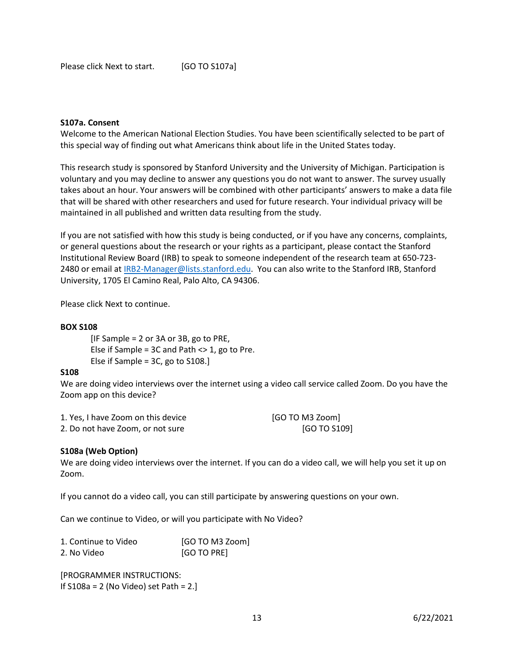#### **S107a. Consent**

Welcome to the American National Election Studies. You have been scientifically selected to be part of this special way of finding out what Americans think about life in the United States today.

This research study is sponsored by Stanford University and the University of Michigan. Participation is voluntary and you may decline to answer any questions you do not want to answer. The survey usually takes about an hour. Your answers will be combined with other participants' answers to make a data file that will be shared with other researchers and used for future research. Your individual privacy will be maintained in all published and written data resulting from the study.

If you are not satisfied with how this study is being conducted, or if you have any concerns, complaints, or general questions about the research or your rights as a participant, please contact the Stanford Institutional Review Board (IRB) to speak to someone independent of the research team at 650-723 2480 or email a[t IRB2-Manager@lists.stanford.edu.](mailto:IRB2-Manager@lists.stanford.edu) You can also write to the Stanford IRB, Stanford University, 1705 El Camino Real, Palo Alto, CA 94306.

Please click Next to continue.

#### **BOX S108**

[IF Sample = 2 or 3A or 3B, go to PRE, Else if Sample =  $3C$  and Path  $\leq$  1, go to Pre. Else if Sample = 3C, go to S108.]

#### **S108**

We are doing video interviews over the internet using a video call service called Zoom. Do you have the Zoom app on this device?

| 1. Yes, I have Zoom on this device | [GO TO M3 Zoom] |
|------------------------------------|-----------------|
| 2. Do not have Zoom, or not sure   | [GO TO S109]    |

#### **S108a (Web Option)**

We are doing video interviews over the internet. If you can do a video call, we will help you set it up on Zoom.

If you cannot do a video call, you can still participate by answering questions on your own.

Can we continue to Video, or will you participate with No Video?

| 1. Continue to Video | [GO TO M3 Zoom] |
|----------------------|-----------------|
| 2. No Video          | [GO TO PRE]     |

[PROGRAMMER INSTRUCTIONS: If S108a = 2 (No Video) set Path = 2.]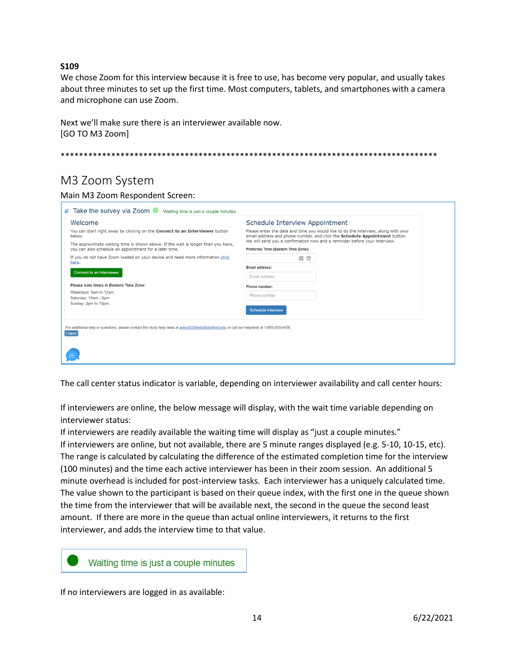#### **S109**

We chose Zoom for this interview because it is free to use, has become very popular, and usually takes about three minutes to set up the first time. Most computers, tablets, and smartphones with a camera and microphone can use Zoom.

Next we'll make sure there is an interviewer available now. [GO TO M3 Zoom]

\*\*\*\*\*\*\*\*\*\*\*\*\*\*\*\*\*\*\*\*\*\*\*\*\*\*\*\*\*\*\*\*\*\*\*\*\*\*\*\*\*\*\*\*\*\*\*\*\*\*\*\*\*\*\*\*\*\*\*\*\*\*\*\*\*\*\*\*\*\*\*\*\*\*\*\*\*\*\*\*\*\*

## M3 Zoom System

#### Main M3 Zoom Respondent Screen:

| Welcome                                                                                                                                     | Schedule Interview Appointment                                                                                                                                   |
|---------------------------------------------------------------------------------------------------------------------------------------------|------------------------------------------------------------------------------------------------------------------------------------------------------------------|
| You can start right away by clicking on the <b>Connect to an Interviewer</b> button<br>below.                                               | Please enter the date and time you would like to do the interview, along with your<br>email address and phone number, and click the Schedule Appointment button. |
| The approximate waiting time is shown above. If the wait is longer than you have,<br>you can also schedule an appointment for a later time. | We will send you a confirmation now and a reminder before your interview.<br>Preferred Time (Eastern Time Zone):                                                 |
| If you do not have Zoom loaded on your device and need more information click                                                               | Ö<br>囲                                                                                                                                                           |
| here.                                                                                                                                       | Email address:                                                                                                                                                   |
| Connect to an Interviewer                                                                                                                   | Email address                                                                                                                                                    |
| Please note times in Eastern Time Zone:                                                                                                     | Phone number:                                                                                                                                                    |
| Weekdays: 9am to 12am<br>Saturday: 10am - 6pm                                                                                               | Phone number                                                                                                                                                     |
| Sunday: 2pm to 10pm.                                                                                                                        | Schedule Interview                                                                                                                                               |

The call center status indicator is variable, depending on interviewer availability and call center hours:

If interviewers are online, the below message will display, with the wait time variable depending on interviewer status:

If interviewers are readily available the waiting time will display as "just a couple minutes." If interviewers are online, but not available, there are 5 minute ranges displayed (e.g. 5-10, 10-15, etc). The range is calculated by calculating the difference of the estimated completion time for the interview (100 minutes) and the time each active interviewer has been in their zoom session. An additional 5 minute overhead is included for post-interview tasks. Each interviewer has a uniquely calculated time. The value shown to the participant is based on their queue index, with the first one in the queue shown the time from the interviewer that will be available next, the second in the queue the second least amount. If there are more in the queue than actual online interviewers, it returns to the first interviewer, and adds the interview time to that value.

Waiting time is just a couple minutes

If no interviewers are logged in as available: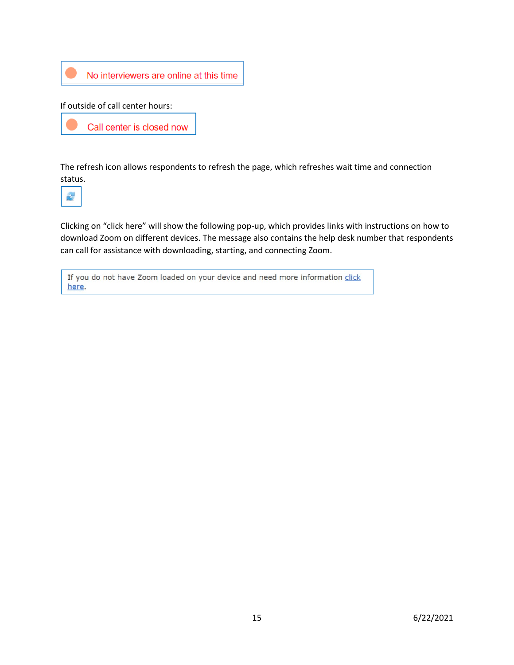

If outside of call center hours:

Call center is closed now

The refresh icon allows respondents to refresh the page, which refreshes wait time and connection status.



Clicking on "click here" will show the following pop-up, which provides links with instructions on how to download Zoom on different devices. The message also contains the help desk number that respondents can call for assistance with downloading, starting, and connecting Zoom.

If you do not have Zoom loaded on your device and need more information click here.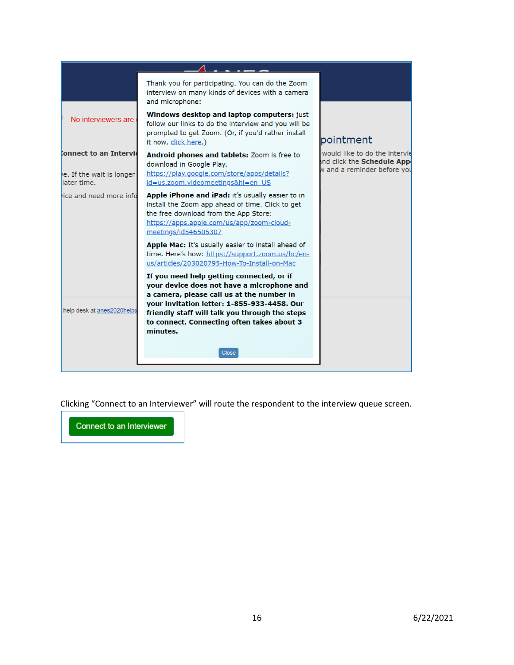|                                                                           | Thank you for participating. You can do the Zoom<br>interview on many kinds of devices with a camera<br>and microphone:                                                                                                               |                                                                                             |  |  |
|---------------------------------------------------------------------------|---------------------------------------------------------------------------------------------------------------------------------------------------------------------------------------------------------------------------------------|---------------------------------------------------------------------------------------------|--|--|
| No interviewers are                                                       | Windows desktop and laptop computers: just<br>follow our links to do the interview and you will be<br>prompted to get Zoom. (Or, if you'd rather install<br>it now, click here.)                                                      | pointment                                                                                   |  |  |
| <b>Connect to an Interviol</b><br>e. If the wait is longer<br>later time. | Android phones and tablets: Zoom is free to<br>download in Google Play.<br>https://play.google.com/store/apps/details?<br>id=us.zoom.videomeetings&hl=en_US                                                                           | would like to do the intervie<br>and click the Schedule Appe<br>w and a reminder before you |  |  |
| rice and need more info                                                   | Apple iPhone and iPad: it's usually easier to in<br>install the Zoom app ahead of time. Click to get<br>the free download from the App Store:<br>https://apps.apple.com/us/app/zoom-cloud-<br>meetings/id546505307                    |                                                                                             |  |  |
|                                                                           | Apple Mac: It's usually easier to install ahead of<br>time. Here's how: https://support.zoom.us/hc/en-<br>us/articles/203020795-How-To-Install-on-Mac                                                                                 |                                                                                             |  |  |
| help desk at anes2020help                                                 | If you need help getting connected, or if<br>your device does not have a microphone and<br>a camera, please call us at the number in<br>vour invitation letter: 1-855-933-4458. Our<br>friendly staff will talk you through the steps |                                                                                             |  |  |
|                                                                           | to connect. Connecting often takes about 3<br>minutes.<br><b>Close</b>                                                                                                                                                                |                                                                                             |  |  |

Clicking "Connect to an Interviewer" will route the respondent to the interview queue screen.

Connect to an Interviewer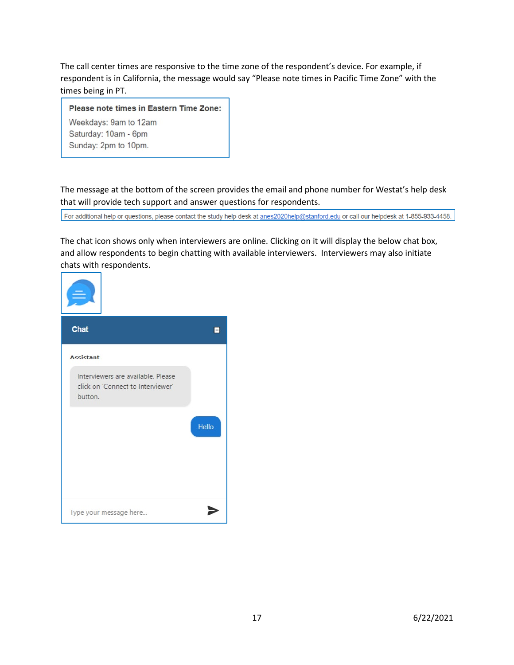The call center times are responsive to the time zone of the respondent's device. For example, if respondent is in California, the message would say "Please note times in Pacific Time Zone" with the times being in PT.

Please note times in Eastern Time Zone: Weekdays: 9am to 12am Saturday: 10am - 6pm Sunday: 2pm to 10pm.

The message at the bottom of the screen provides the email and phone number for Westat's help desk that will provide tech support and answer questions for respondents.

For additional help or questions, please contact the study help desk at anes2020help@stanford.edu or call our helpdesk at 1-855-933-4458.

The chat icon shows only when interviewers are online. Clicking on it will display the below chat box, and allow respondents to begin chatting with available interviewers. Interviewers may also initiate chats with respondents.

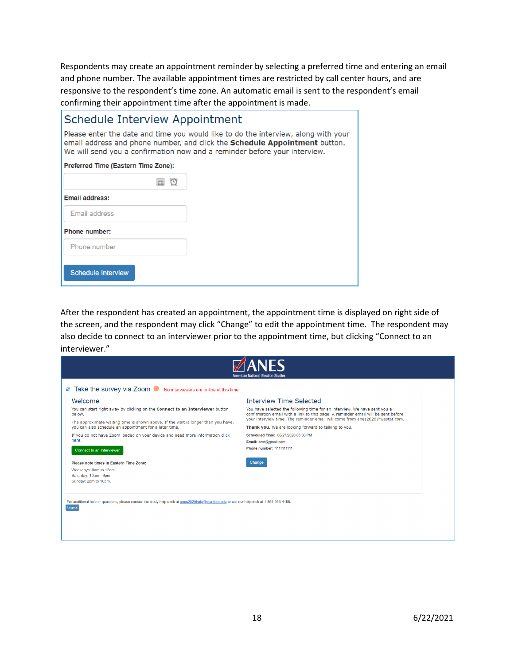Respondents may create an appointment reminder by selecting a preferred time and entering an email and phone number. The available appointment times are restricted by call center hours, and are responsive to the respondent's time zone. An automatic email is sent to the respondent's email confirming their appointment time after the appointment is made.

## Schedule Interview Appointment

Please enter the date and time you would like to do the interview, along with your email address and phone number, and click the Schedule Appointment button. We will send you a confirmation now and a reminder before your interview.

| Preferred Time (Eastern Time Zone): |        |  |
|-------------------------------------|--------|--|
|                                     | O<br>曲 |  |
| <b>Email address:</b>               |        |  |
| <b>Email address</b>                |        |  |
| Phone number:                       |        |  |
| Phone number                        |        |  |
| <b>Schedule Interview</b>           |        |  |
|                                     |        |  |

After the respondent has created an appointment, the appointment time is displayed on right side of the screen, and the respondent may click "Change" to edit the appointment time. The respondent may also decide to connect to an interviewer prior to the appointment time, but clicking "Connect to an interviewer."

| <b>American National Election Studies</b>                                                                                                   |                                                                                                                                                                                                                                               |  |  |  |
|---------------------------------------------------------------------------------------------------------------------------------------------|-----------------------------------------------------------------------------------------------------------------------------------------------------------------------------------------------------------------------------------------------|--|--|--|
| Take the survey via Zoom No interviewers are online at this time<br>e                                                                       |                                                                                                                                                                                                                                               |  |  |  |
| Welcome                                                                                                                                     | <b>Interview Time Selected</b>                                                                                                                                                                                                                |  |  |  |
| You can start right away by clicking on the Connect to an Interviewer button<br>below.                                                      | You have selected the following time for an interview. We have sent you a<br>confirmation email with a link to this page. A reminder email will be sent before<br>your interview time. The reminder email will come from anes2020@westat.com. |  |  |  |
| The approximate waiting time is shown above. If the wait is longer than you have,<br>you can also schedule an appointment for a later time. | Thank you. We are looking forward to talking to you.                                                                                                                                                                                          |  |  |  |
| If you do not have Zoom loaded on your device and need more information click<br>here.<br>Connect to an Interviewer                         | Scheduled Time: 08/27/2020 05:00 PM<br>Email: test@gmail.com<br>Phone number: 1111111111                                                                                                                                                      |  |  |  |
| Please note times in Eastern Time Zone:<br>Weekdays: 9am to 12am<br>Saturday: 10am - 6pm<br>Sunday: 2pm to 10pm.                            | Change                                                                                                                                                                                                                                        |  |  |  |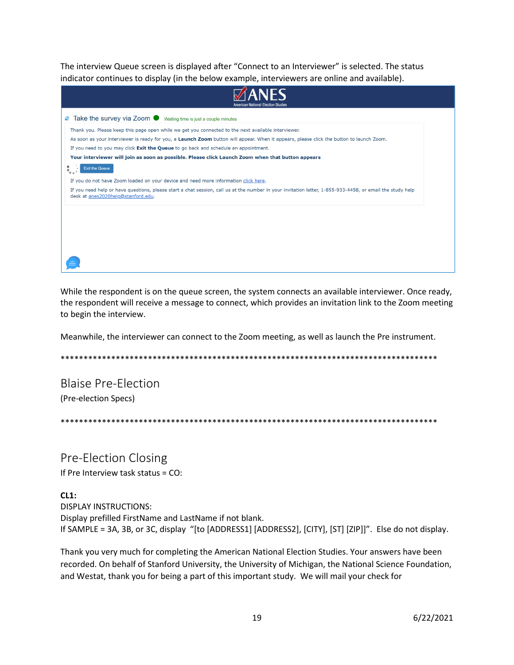The interview Queue screen is displayed after "Connect to an Interviewer" is selected. The status indicator continues to display (in the below example, interviewers are online and available).

| <b>American National Election Studies</b>                                                                                                                                                                                                                                                                                                                                                                            |
|----------------------------------------------------------------------------------------------------------------------------------------------------------------------------------------------------------------------------------------------------------------------------------------------------------------------------------------------------------------------------------------------------------------------|
| Take the survey via Zoom $\bullet$ Waiting time is just a couple minutes<br>ø                                                                                                                                                                                                                                                                                                                                        |
| Thank you. Please keep this page open while we get you connected to the next available interviewer.<br>As soon as your interviewer is ready for you, a Launch Zoom button will appear. When it appears, please click the button to launch Zoom.                                                                                                                                                                      |
| If you need to you may click Exit the Queue to go back and schedule an appointment.                                                                                                                                                                                                                                                                                                                                  |
| Your interviewer will join as soon as possible. Please click Launch Zoom when that button appears<br><b>Exit the Queue</b><br>If you do not have Zoom loaded on your device and need more information click here.<br>If you need help or have questions, please start a chat session, call us at the number in your invitation letter, 1-855-933-4458, or email the study help<br>desk at anes2020help@stanford.edu. |
|                                                                                                                                                                                                                                                                                                                                                                                                                      |
|                                                                                                                                                                                                                                                                                                                                                                                                                      |
|                                                                                                                                                                                                                                                                                                                                                                                                                      |

While the respondent is on the queue screen, the system connects an available interviewer. Once ready, the respondent will receive a message to connect, which provides an invitation link to the Zoom meeting to begin the interview.

Meanwhile, the interviewer can connect to the Zoom meeting, as well as launch the Pre instrument.

\*\*\*\*\*\*\*\*\*\*\*\*\*\*\*\*\*\*\*\*\*\*\*\*\*\*\*\*\*\*\*\*\*\*\*\*\*\*\*\*\*\*\*\*\*\*\*\*\*\*\*\*\*\*\*\*\*\*\*\*\*\*\*\*\*\*\*\*\*\*\*\*\*\*\*\*\*\*\*\*\*\*

Blaise Pre-Election (Pre-election Specs)

\*\*\*\*\*\*\*\*\*\*\*\*\*\*\*\*\*\*\*\*\*\*\*\*\*\*\*\*\*\*\*\*\*\*\*\*\*\*\*\*\*\*\*\*\*\*\*\*\*\*\*\*\*\*\*\*\*\*\*\*\*\*\*\*\*\*\*\*\*\*\*\*\*\*\*\*\*\*\*\*\*\*

## Pre-Election Closing If Pre Interview task status =  $CO$ :

## **CL1:**

DISPLAY INSTRUCTIONS: Display prefilled FirstName and LastName if not blank. If SAMPLE = 3A, 3B, or 3C, display "[to [ADDRESS1] [ADDRESS2], [CITY], [ST] [ZIP]]". Else do not display.

Thank you very much for completing the American National Election Studies. Your answers have been recorded. On behalf of Stanford University, the University of Michigan, the National Science Foundation, and Westat, thank you for being a part of this important study. We will mail your check for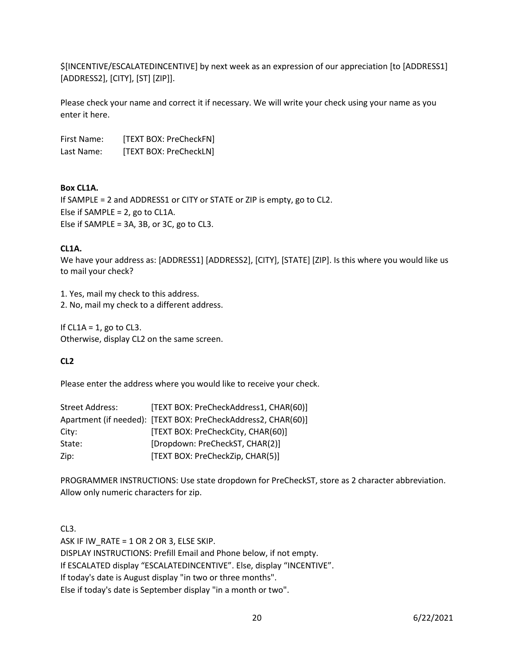\$[INCENTIVE/ESCALATEDINCENTIVE] by next week as an expression of our appreciation [to [ADDRESS1] [ADDRESS2], [CITY], [ST] [ZIP]].

Please check your name and correct it if necessary. We will write your check using your name as you enter it here.

First Name: [TEXT BOX: PreCheckFN] Last Name: [TEXT BOX: PreCheckLN]

## **Box CL1A.**

If SAMPLE = 2 and ADDRESS1 or CITY or STATE or ZIP is empty, go to CL2. Else if SAMPLE = 2, go to CL1A. Else if SAMPLE = 3A, 3B, or 3C, go to CL3.

## **CL1A.**

We have your address as: [ADDRESS1] [ADDRESS2], [CITY], [STATE] [ZIP]. Is this where you would like us to mail your check?

1. Yes, mail my check to this address. 2. No, mail my check to a different address.

If  $CL1A = 1$ , go to  $CL3$ . Otherwise, display CL2 on the same screen.

## **CL2**

Please enter the address where you would like to receive your check.

| Street Address: | [TEXT BOX: PreCheckAddress1, CHAR(60)]                        |
|-----------------|---------------------------------------------------------------|
|                 | Apartment (if needed): [TEXT BOX: PreCheckAddress2, CHAR(60)] |
| City:           | [TEXT BOX: PreCheckCity, CHAR(60)]                            |
| State:          | [Dropdown: PreCheckST, CHAR(2)]                               |
| Zip:            | [TEXT BOX: PreCheckZip, CHAR(5)]                              |

PROGRAMMER INSTRUCTIONS: Use state dropdown for PreCheckST, store as 2 character abbreviation. Allow only numeric characters for zip.

CL3. ASK IF IW\_RATE = 1 OR 2 OR 3, ELSE SKIP. DISPLAY INSTRUCTIONS: Prefill Email and Phone below, if not empty. If ESCALATED display "ESCALATEDINCENTIVE". Else, display "INCENTIVE". If today's date is August display "in two or three months". Else if today's date is September display "in a month or two".